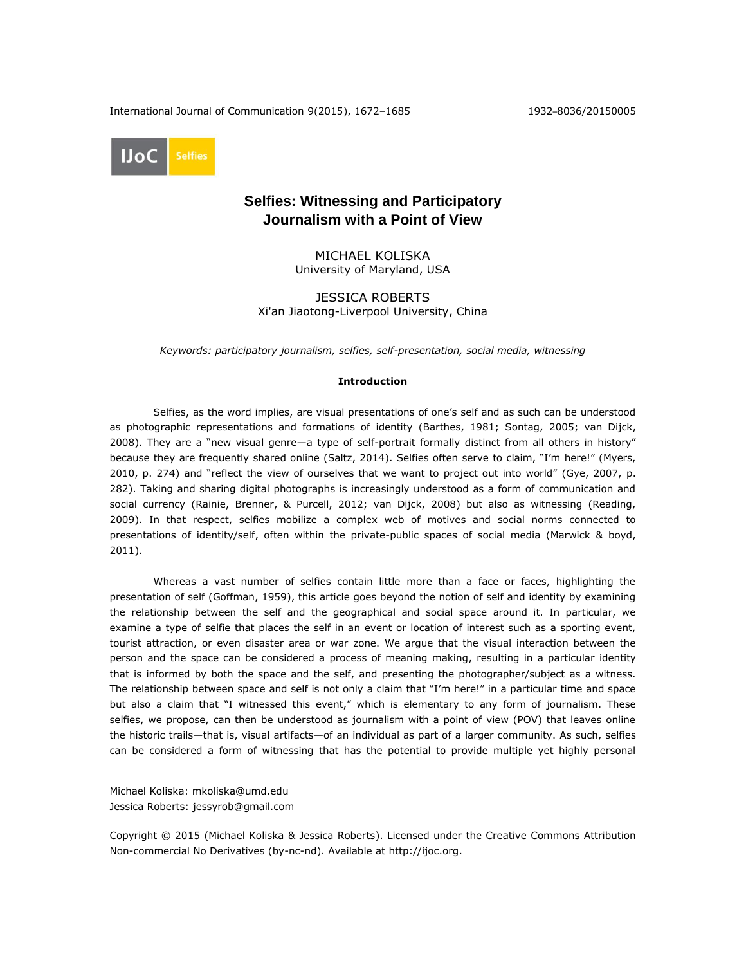International Journal of Communication 9(2015), 1672–1685 1932–8036/20150005



# **Selfies: Witnessing and Participatory Journalism with a Point of View**

MICHAEL KOLISKA University of Maryland, USA

JESSICA ROBERTS Xi'an Jiaotong-Liverpool University, China

*Keywords: participatory journalism, selfies, self-presentation, social media, witnessing*

## **Introduction**

Selfies, as the word implies, are visual presentations of one's self and as such can be understood as photographic representations and formations of identity (Barthes, 1981; Sontag, 2005; van Dijck, 2008). They are a "new visual genre—a type of self-portrait formally distinct from all others in history" because they are frequently shared online (Saltz, 2014). Selfies often serve to claim, "I'm here!" (Myers, 2010, p. 274) and "reflect the view of ourselves that we want to project out into world" (Gye, 2007, p. 282). Taking and sharing digital photographs is increasingly understood as a form of communication and social currency (Rainie, Brenner, & Purcell, 2012; van Dijck, 2008) but also as witnessing (Reading, 2009). In that respect, selfies mobilize a complex web of motives and social norms connected to presentations of identity/self, often within the private-public spaces of social media (Marwick & boyd, 2011).

Whereas a vast number of selfies contain little more than a face or faces, highlighting the presentation of self (Goffman, 1959), this article goes beyond the notion of self and identity by examining the relationship between the self and the geographical and social space around it. In particular, we examine a type of selfie that places the self in an event or location of interest such as a sporting event, tourist attraction, or even disaster area or war zone. We argue that the visual interaction between the person and the space can be considered a process of meaning making, resulting in a particular identity that is informed by both the space and the self, and presenting the photographer/subject as a witness. The relationship between space and self is not only a claim that "I'm here!" in a particular time and space but also a claim that "I witnessed this event," which is elementary to any form of journalism. These selfies, we propose, can then be understood as journalism with a point of view (POV) that leaves online the historic trails—that is, visual artifacts—of an individual as part of a larger community. As such, selfies can be considered a form of witnessing that has the potential to provide multiple yet highly personal

 $\overline{a}$ 

Michael Koliska: mkoliska@umd.edu Jessica Roberts: jessyrob@gmail.com

Copyright © 2015 (Michael Koliska & Jessica Roberts). Licensed under the Creative Commons Attribution Non-commercial No Derivatives (by-nc-nd). Available at [http://ijoc.org.](http://ijoc.org/)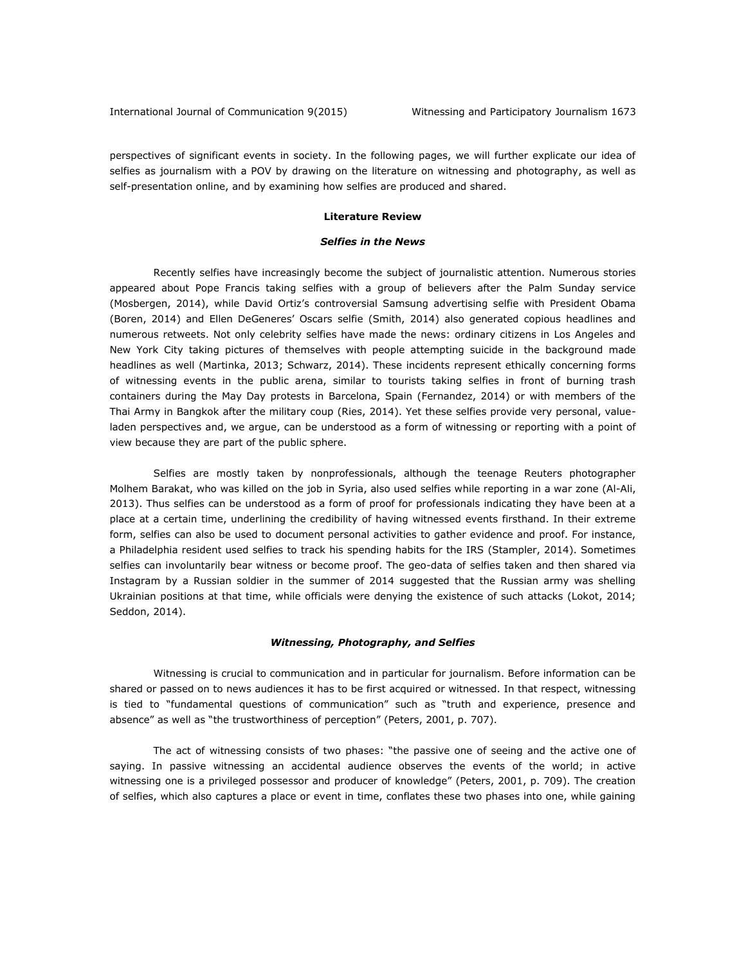perspectives of significant events in society. In the following pages, we will further explicate our idea of selfies as journalism with a POV by drawing on the literature on witnessing and photography, as well as self-presentation online, and by examining how selfies are produced and shared.

# **Literature Review**

# *Selfies in the News*

Recently selfies have increasingly become the subject of journalistic attention. Numerous stories appeared about Pope Francis taking selfies with a group of believers after the Palm Sunday service (Mosbergen, 2014), while David Ortiz's controversial Samsung advertising selfie with President Obama (Boren, 2014) and Ellen DeGeneres' Oscars selfie (Smith, 2014) also generated copious headlines and numerous retweets. Not only celebrity selfies have made the news: ordinary citizens in Los Angeles and New York City taking pictures of themselves with people attempting suicide in the background made headlines as well (Martinka, 2013; Schwarz, 2014). These incidents represent ethically concerning forms of witnessing events in the public arena, similar to tourists taking selfies in front of burning trash containers during the May Day protests in Barcelona, Spain (Fernandez, 2014) or with members of the Thai Army in Bangkok after the military coup (Ries, 2014). Yet these selfies provide very personal, valueladen perspectives and, we argue, can be understood as a form of witnessing or reporting with a point of view because they are part of the public sphere.

Selfies are mostly taken by nonprofessionals, although the teenage Reuters photographer Molhem Barakat, who was killed on the job in Syria, also used selfies while reporting in a war zone (Al-Ali, 2013). Thus selfies can be understood as a form of proof for professionals indicating they have been at a place at a certain time, underlining the credibility of having witnessed events firsthand. In their extreme form, selfies can also be used to document personal activities to gather evidence and proof. For instance, a Philadelphia resident used selfies to track his spending habits for the IRS (Stampler, 2014). Sometimes selfies can involuntarily bear witness or become proof. The geo-data of selfies taken and then shared via Instagram by a Russian soldier in the summer of 2014 suggested that the Russian army was shelling Ukrainian positions at that time, while officials were denying the existence of such attacks (Lokot, 2014; Seddon, 2014).

### *Witnessing, Photography, and Selfies*

Witnessing is crucial to communication and in particular for journalism. Before information can be shared or passed on to news audiences it has to be first acquired or witnessed. In that respect, witnessing is tied to "fundamental questions of communication" such as "truth and experience, presence and absence" as well as "the trustworthiness of perception" (Peters, 2001, p. 707).

The act of witnessing consists of two phases: "the passive one of seeing and the active one of saying. In passive witnessing an accidental audience observes the events of the world; in active witnessing one is a privileged possessor and producer of knowledge" (Peters, 2001, p. 709). The creation of selfies, which also captures a place or event in time, conflates these two phases into one, while gaining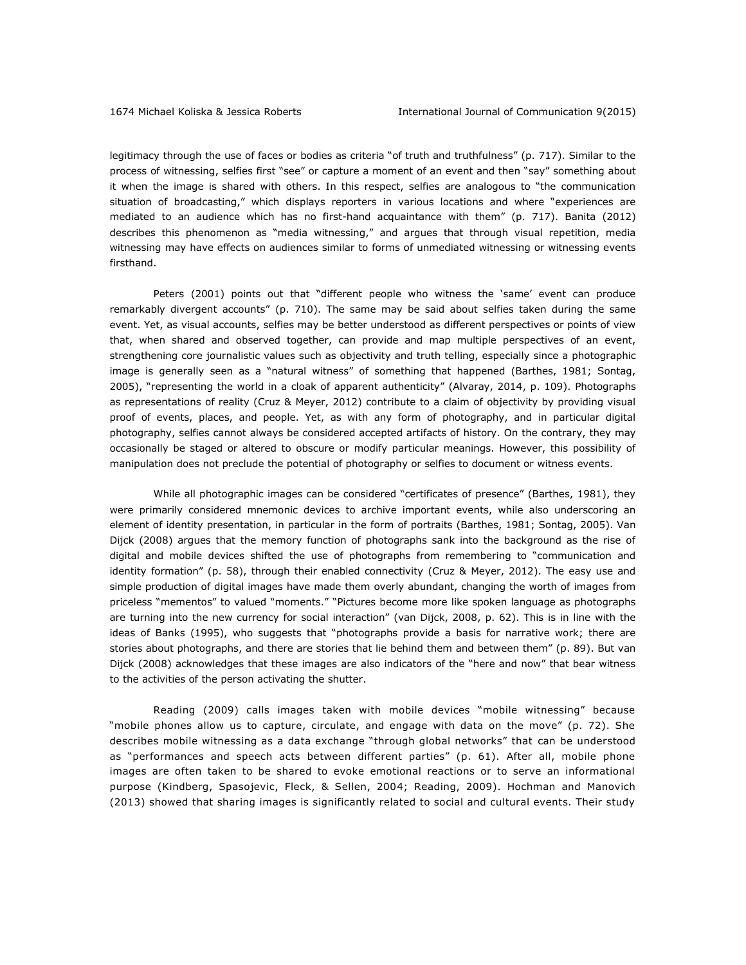legitimacy through the use of faces or bodies as criteria "of truth and truthfulness" (p. 717). Similar to the process of witnessing, selfies first "see" or capture a moment of an event and then "say" something about it when the image is shared with others. In this respect, selfies are analogous to "the communication situation of broadcasting," which displays reporters in various locations and where "experiences are mediated to an audience which has no first-hand acquaintance with them" (p. 717). Banita (2012) describes this phenomenon as "media witnessing," and argues that through visual repetition, media witnessing may have effects on audiences similar to forms of unmediated witnessing or witnessing events firsthand.

Peters (2001) points out that "different people who witness the 'same' event can produce remarkably divergent accounts" (p. 710). The same may be said about selfies taken during the same event. Yet, as visual accounts, selfies may be better understood as different perspectives or points of view that, when shared and observed together, can provide and map multiple perspectives of an event, strengthening core journalistic values such as objectivity and truth telling, especially since a photographic image is generally seen as a "natural witness" of something that happened (Barthes, 1981; Sontag, 2005), "representing the world in a cloak of apparent authenticity" (Alvaray, 2014, p. 109). Photographs as representations of reality (Cruz & Meyer, 2012) contribute to a claim of objectivity by providing visual proof of events, places, and people. Yet, as with any form of photography, and in particular digital photography, selfies cannot always be considered accepted artifacts of history. On the contrary, they may occasionally be staged or altered to obscure or modify particular meanings. However, this possibility of manipulation does not preclude the potential of photography or selfies to document or witness events.

While all photographic images can be considered "certificates of presence" (Barthes, 1981), they were primarily considered mnemonic devices to archive important events, while also underscoring an element of identity presentation, in particular in the form of portraits (Barthes, 1981; Sontag, 2005). Van Dijck (2008) argues that the memory function of photographs sank into the background as the rise of digital and mobile devices shifted the use of photographs from remembering to "communication and identity formation" (p. 58), through their enabled connectivity (Cruz & Meyer, 2012). The easy use and simple production of digital images have made them overly abundant, changing the worth of images from priceless "mementos" to valued "moments." "Pictures become more like spoken language as photographs are turning into the new currency for social interaction" (van Dijck, 2008, p. 62). This is in line with the ideas of Banks (1995), who suggests that "photographs provide a basis for narrative work; there are stories about photographs, and there are stories that lie behind them and between them" (p. 89). But van Dijck (2008) acknowledges that these images are also indicators of the "here and now" that bear witness to the activities of the person activating the shutter.

Reading (2009) calls images taken with mobile devices "mobile witnessing" because "mobile phones allow us to capture, circulate, and engage with data on the move" (p. 72). She describes mobile witnessing as a data exchange "through global networks" that can be understood as "performances and speech acts between different parties" (p. 61). After all, mobile phone images are often taken to be shared to evoke emotional reactions or to serve an informational purpose (Kindberg, Spasojevic, Fleck, & Sellen, 2004; Reading, 2009). Hochman and Manovich (2013) showed that sharing images is significantly related to social and cultural events. Their study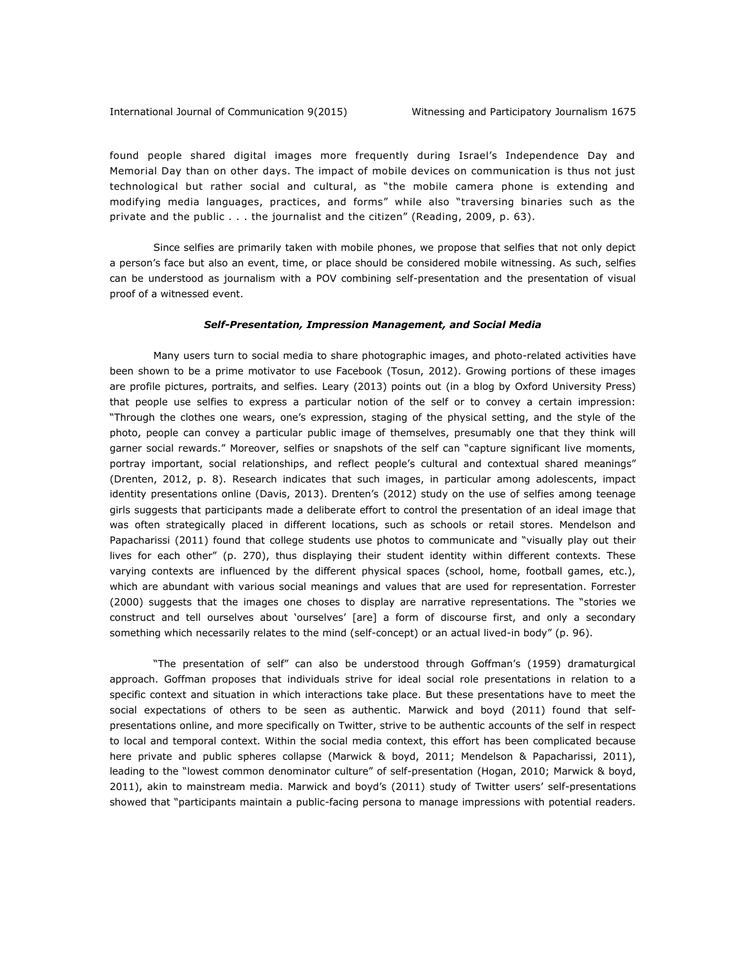found people shared digital images more frequently during Israel's Independence Day and Memorial Day than on other days. The impact of mobile devices on communication is thus not just technological but rather social and cultural, as "the mobile camera phone is extending and modifying media languages, practices, and forms" while also "traversing binaries such as the private and the public . . . the journalist and the citizen" (Reading, 2009, p. 63).

Since selfies are primarily taken with mobile phones, we propose that selfies that not only depict a person's face but also an event, time, or place should be considered mobile witnessing. As such, selfies can be understood as journalism with a POV combining self-presentation and the presentation of visual proof of a witnessed event.

#### *Self-Presentation, Impression Management, and Social Media*

Many users turn to social media to share photographic images, and photo-related activities have been shown to be a prime motivator to use Facebook (Tosun, 2012). Growing portions of these images are profile pictures, portraits, and selfies. Leary (2013) points out (in a blog by Oxford University Press) that people use selfies to express a particular notion of the self or to convey a certain impression: "Through the clothes one wears, one's expression, staging of the physical setting, and the style of the photo, people can convey a particular public image of themselves, presumably one that they think will garner social rewards." Moreover, selfies or snapshots of the self can "capture significant live moments, portray important, social relationships, and reflect people's cultural and contextual shared meanings" (Drenten, 2012, p. 8). Research indicates that such images, in particular among adolescents, impact identity presentations online (Davis, 2013). Drenten's (2012) study on the use of selfies among teenage girls suggests that participants made a deliberate effort to control the presentation of an ideal image that was often strategically placed in different locations, such as schools or retail stores. Mendelson and Papacharissi (2011) found that college students use photos to communicate and "visually play out their lives for each other" (p. 270), thus displaying their student identity within different contexts. These varying contexts are influenced by the different physical spaces (school, home, football games, etc.), which are abundant with various social meanings and values that are used for representation. Forrester (2000) suggests that the images one choses to display are narrative representations. The "stories we construct and tell ourselves about 'ourselves' [are] a form of discourse first, and only a secondary something which necessarily relates to the mind (self-concept) or an actual lived-in body" (p. 96).

"The presentation of self" can also be understood through Goffman's (1959) dramaturgical approach. Goffman proposes that individuals strive for ideal social role presentations in relation to a specific context and situation in which interactions take place. But these presentations have to meet the social expectations of others to be seen as authentic. Marwick and boyd (2011) found that selfpresentations online, and more specifically on Twitter, strive to be authentic accounts of the self in respect to local and temporal context. Within the social media context, this effort has been complicated because here private and public spheres collapse (Marwick & boyd, 2011; Mendelson & Papacharissi, 2011), leading to the "lowest common denominator culture" of self-presentation (Hogan, 2010; Marwick & boyd, 2011), akin to mainstream media. Marwick and boyd's (2011) study of Twitter users' self-presentations showed that "participants maintain a public-facing persona to manage impressions with potential readers.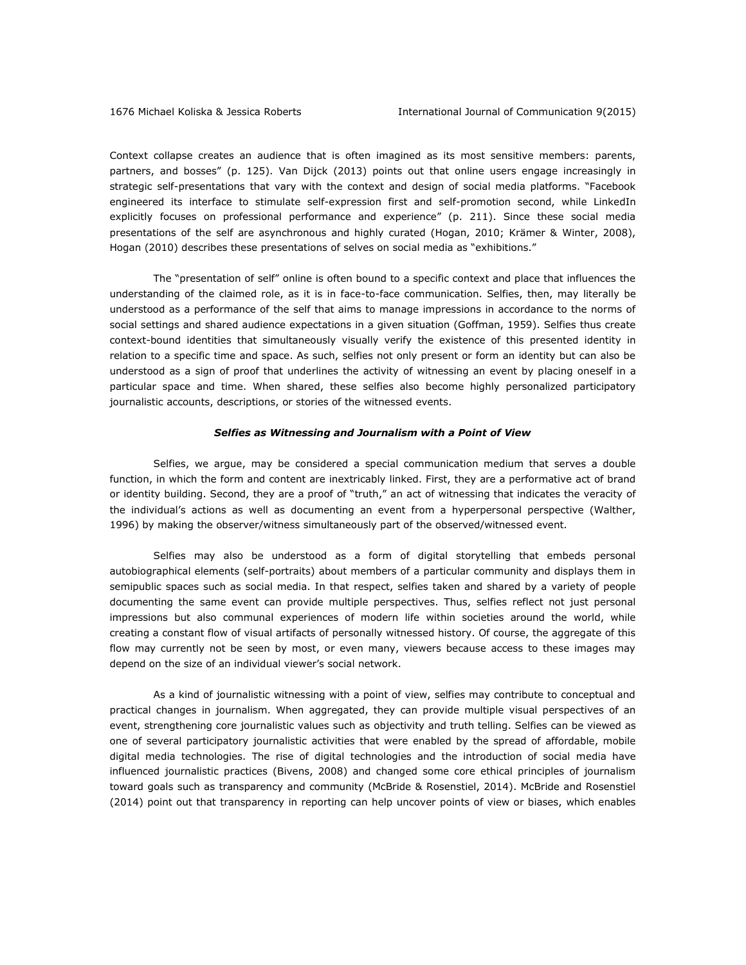Context collapse creates an audience that is often imagined as its most sensitive members: parents, partners, and bosses" (p. 125). Van Dijck (2013) points out that online users engage increasingly in strategic self-presentations that vary with the context and design of social media platforms. "Facebook engineered its interface to stimulate self-expression first and self-promotion second, while LinkedIn explicitly focuses on professional performance and experience" (p. 211). Since these social media presentations of the self are asynchronous and highly curated (Hogan, 2010; Krämer & Winter, 2008), Hogan (2010) describes these presentations of selves on social media as "exhibitions."

The "presentation of self" online is often bound to a specific context and place that influences the understanding of the claimed role, as it is in face-to-face communication. Selfies, then, may literally be understood as a performance of the self that aims to manage impressions in accordance to the norms of social settings and shared audience expectations in a given situation (Goffman, 1959). Selfies thus create context-bound identities that simultaneously visually verify the existence of this presented identity in relation to a specific time and space. As such, selfies not only present or form an identity but can also be understood as a sign of proof that underlines the activity of witnessing an event by placing oneself in a particular space and time. When shared, these selfies also become highly personalized participatory journalistic accounts, descriptions, or stories of the witnessed events.

#### *Selfies as Witnessing and Journalism with a Point of View*

Selfies, we argue, may be considered a special communication medium that serves a double function, in which the form and content are inextricably linked. First, they are a performative act of brand or identity building. Second, they are a proof of "truth," an act of witnessing that indicates the veracity of the individual's actions as well as documenting an event from a hyperpersonal perspective (Walther, 1996) by making the observer/witness simultaneously part of the observed/witnessed event.

Selfies may also be understood as a form of digital storytelling that embeds personal autobiographical elements (self-portraits) about members of a particular community and displays them in semipublic spaces such as social media. In that respect, selfies taken and shared by a variety of people documenting the same event can provide multiple perspectives. Thus, selfies reflect not just personal impressions but also communal experiences of modern life within societies around the world, while creating a constant flow of visual artifacts of personally witnessed history. Of course, the aggregate of this flow may currently not be seen by most, or even many, viewers because access to these images may depend on the size of an individual viewer's social network.

As a kind of journalistic witnessing with a point of view, selfies may contribute to conceptual and practical changes in journalism. When aggregated, they can provide multiple visual perspectives of an event, strengthening core journalistic values such as objectivity and truth telling. Selfies can be viewed as one of several participatory journalistic activities that were enabled by the spread of affordable, mobile digital media technologies. The rise of digital technologies and the introduction of social media have influenced journalistic practices (Bivens, 2008) and changed some core ethical principles of journalism toward goals such as transparency and community (McBride & Rosenstiel, 2014). McBride and Rosenstiel (2014) point out that transparency in reporting can help uncover points of view or biases, which enables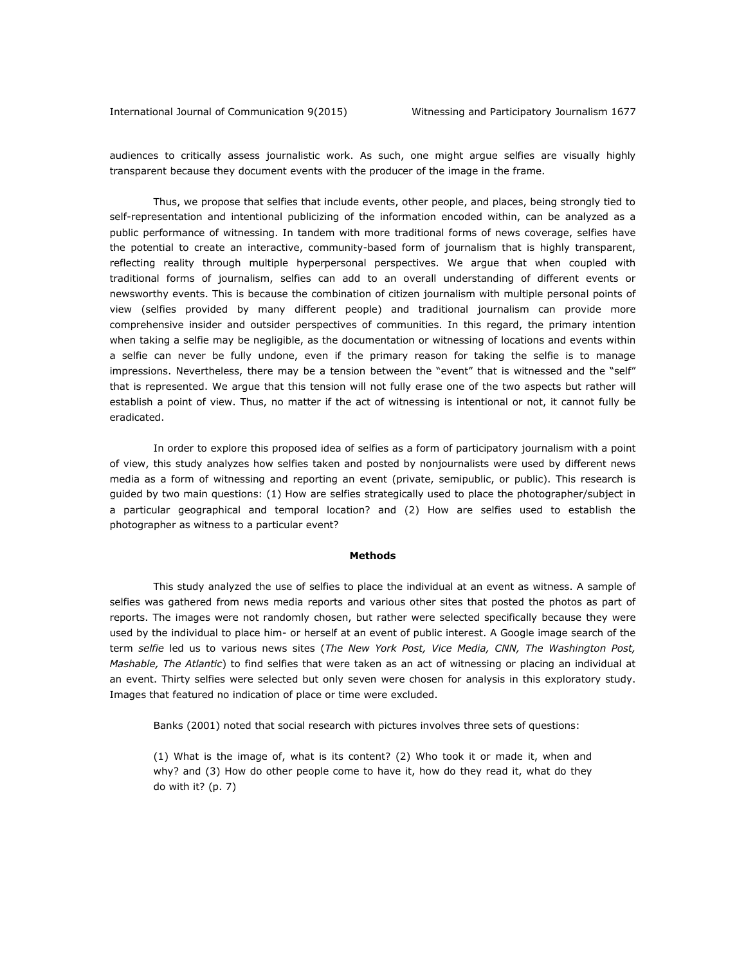audiences to critically assess journalistic work. As such, one might argue selfies are visually highly transparent because they document events with the producer of the image in the frame.

Thus, we propose that selfies that include events, other people, and places, being strongly tied to self-representation and intentional publicizing of the information encoded within, can be analyzed as a public performance of witnessing. In tandem with more traditional forms of news coverage, selfies have the potential to create an interactive, community-based form of journalism that is highly transparent, reflecting reality through multiple hyperpersonal perspectives. We argue that when coupled with traditional forms of journalism, selfies can add to an overall understanding of different events or newsworthy events. This is because the combination of citizen journalism with multiple personal points of view (selfies provided by many different people) and traditional journalism can provide more comprehensive insider and outsider perspectives of communities. In this regard, the primary intention when taking a selfie may be negligible, as the documentation or witnessing of locations and events within a selfie can never be fully undone, even if the primary reason for taking the selfie is to manage impressions. Nevertheless, there may be a tension between the "event" that is witnessed and the "self" that is represented. We argue that this tension will not fully erase one of the two aspects but rather will establish a point of view. Thus, no matter if the act of witnessing is intentional or not, it cannot fully be eradicated.

In order to explore this proposed idea of selfies as a form of participatory journalism with a point of view, this study analyzes how selfies taken and posted by nonjournalists were used by different news media as a form of witnessing and reporting an event (private, semipublic, or public). This research is guided by two main questions: (1) How are selfies strategically used to place the photographer/subject in a particular geographical and temporal location? and (2) How are selfies used to establish the photographer as witness to a particular event?

#### **Methods**

This study analyzed the use of selfies to place the individual at an event as witness. A sample of selfies was gathered from news media reports and various other sites that posted the photos as part of reports. The images were not randomly chosen, but rather were selected specifically because they were used by the individual to place him- or herself at an event of public interest. A Google image search of the term *selfie* led us to various news sites (*The New York Post, Vice Media, CNN, The Washington Post, Mashable, The Atlantic*) to find selfies that were taken as an act of witnessing or placing an individual at an event. Thirty selfies were selected but only seven were chosen for analysis in this exploratory study. Images that featured no indication of place or time were excluded.

Banks (2001) noted that social research with pictures involves three sets of questions:

(1) What is the image of, what is its content? (2) Who took it or made it, when and why? and (3) How do other people come to have it, how do they read it, what do they do with it? (p. 7)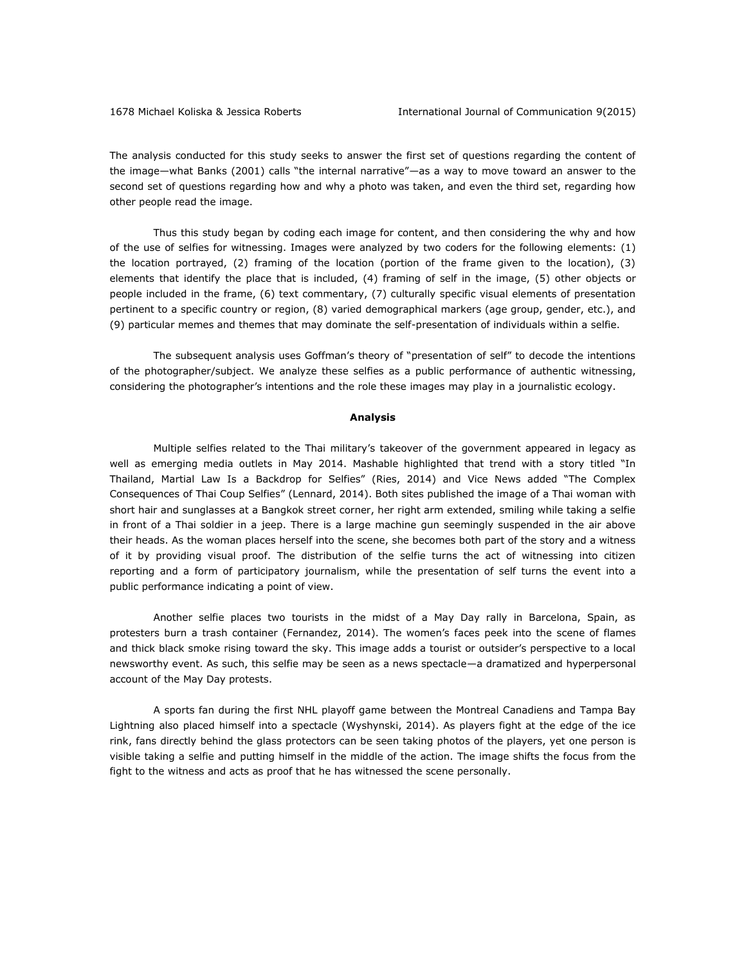The analysis conducted for this study seeks to answer the first set of questions regarding the content of the image—what Banks (2001) calls "the internal narrative"—as a way to move toward an answer to the second set of questions regarding how and why a photo was taken, and even the third set, regarding how other people read the image.

Thus this study began by coding each image for content, and then considering the why and how of the use of selfies for witnessing. Images were analyzed by two coders for the following elements: (1) the location portrayed, (2) framing of the location (portion of the frame given to the location), (3) elements that identify the place that is included, (4) framing of self in the image, (5) other objects or people included in the frame, (6) text commentary, (7) culturally specific visual elements of presentation pertinent to a specific country or region, (8) varied demographical markers (age group, gender, etc.), and (9) particular memes and themes that may dominate the self-presentation of individuals within a selfie.

The subsequent analysis uses Goffman's theory of "presentation of self" to decode the intentions of the photographer/subject. We analyze these selfies as a public performance of authentic witnessing, considering the photographer's intentions and the role these images may play in a journalistic ecology.

#### **Analysis**

Multiple selfies related to the Thai military's takeover of the government appeared in legacy as well as emerging media outlets in May 2014. Mashable highlighted that trend with a story titled "In Thailand, Martial Law Is a Backdrop for Selfies" (Ries, 2014) and Vice News added "The Complex Consequences of Thai Coup Selfies" (Lennard, 2014). Both sites published the image of a Thai woman with short hair and sunglasses at a Bangkok street corner, her right arm extended, smiling while taking a selfie in front of a Thai soldier in a jeep. There is a large machine gun seemingly suspended in the air above their heads. As the woman places herself into the scene, she becomes both part of the story and a witness of it by providing visual proof. The distribution of the selfie turns the act of witnessing into citizen reporting and a form of participatory journalism, while the presentation of self turns the event into a public performance indicating a point of view.

Another selfie places two tourists in the midst of a May Day rally in Barcelona, Spain, as protesters burn a trash container (Fernandez, 2014). The women's faces peek into the scene of flames and thick black smoke rising toward the sky. This image adds a tourist or outsider's perspective to a local newsworthy event. As such, this selfie may be seen as a news spectacle—a dramatized and hyperpersonal account of the May Day protests.

A sports fan during the first NHL playoff game between the Montreal Canadiens and Tampa Bay Lightning also placed himself into a spectacle (Wyshynski, 2014). As players fight at the edge of the ice rink, fans directly behind the glass protectors can be seen taking photos of the players, yet one person is visible taking a selfie and putting himself in the middle of the action. The image shifts the focus from the fight to the witness and acts as proof that he has witnessed the scene personally.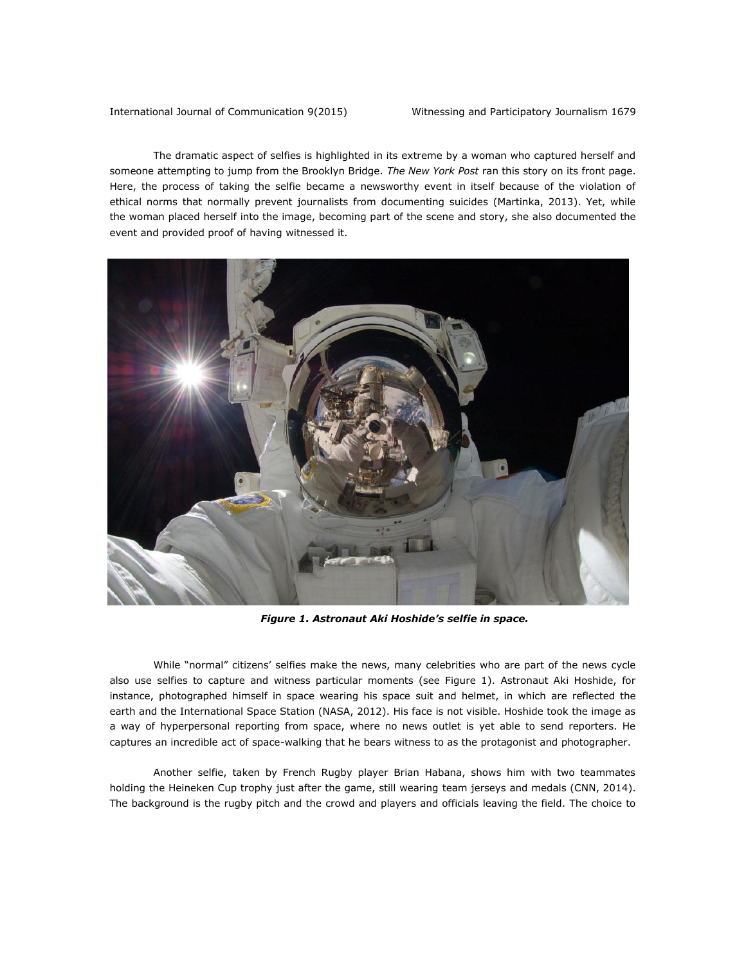The dramatic aspect of selfies is highlighted in its extreme by a woman who captured herself and someone attempting to jump from the Brooklyn Bridge. *The New York Post* ran this story on its front page. Here, the process of taking the selfie became a newsworthy event in itself because of the violation of ethical norms that normally prevent journalists from documenting suicides (Martinka, 2013). Yet, while the woman placed herself into the image, becoming part of the scene and story, she also documented the event and provided proof of having witnessed it.



*Figure 1. Astronaut Aki Hoshide's selfie in space.*

While "normal" citizens' selfies make the news, many celebrities who are part of the news cycle also use selfies to capture and witness particular moments (see Figure 1). Astronaut Aki Hoshide, for instance, photographed himself in space wearing his space suit and helmet, in which are reflected the earth and the International Space Station (NASA, 2012). His face is not visible. Hoshide took the image as a way of hyperpersonal reporting from space, where no news outlet is yet able to send reporters. He captures an incredible act of space-walking that he bears witness to as the protagonist and photographer.

Another selfie, taken by French Rugby player Brian Habana, shows him with two teammates holding the Heineken Cup trophy just after the game, still wearing team jerseys and medals (CNN, 2014). The background is the rugby pitch and the crowd and players and officials leaving the field. The choice to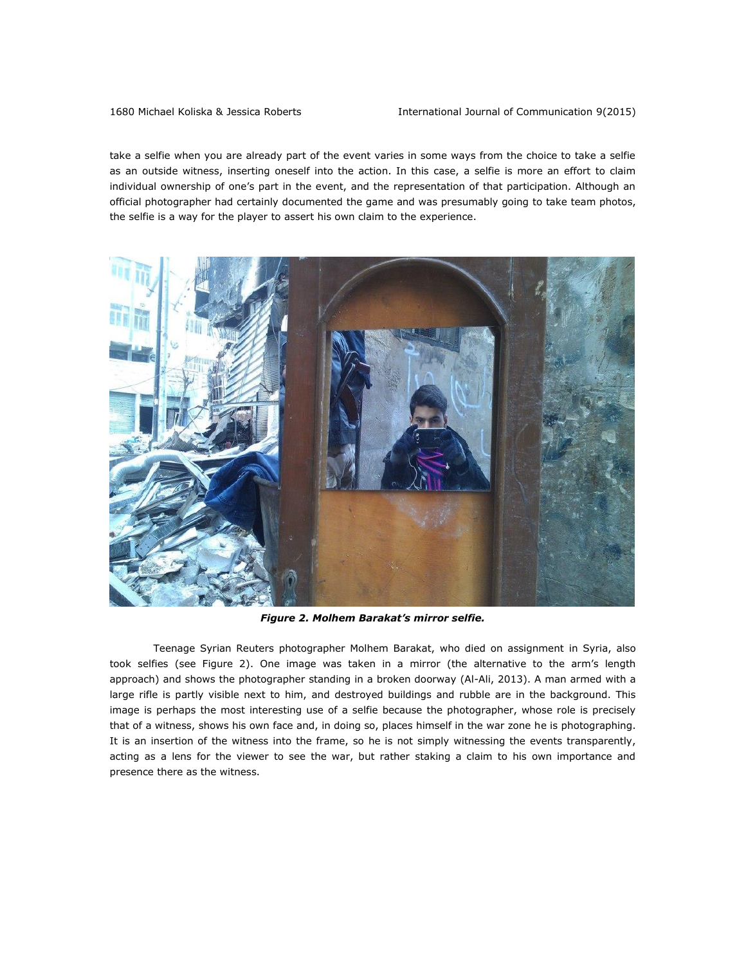take a selfie when you are already part of the event varies in some ways from the choice to take a selfie as an outside witness, inserting oneself into the action. In this case, a selfie is more an effort to claim individual ownership of one's part in the event, and the representation of that participation. Although an official photographer had certainly documented the game and was presumably going to take team photos, the selfie is a way for the player to assert his own claim to the experience.



*Figure 2. Molhem Barakat's mirror selfie.*

Teenage Syrian Reuters photographer Molhem Barakat, who died on assignment in Syria, also took selfies (see Figure 2). One image was taken in a mirror (the alternative to the arm's length approach) and shows the photographer standing in a broken doorway (Al-Ali, 2013). A man armed with a large rifle is partly visible next to him, and destroyed buildings and rubble are in the background. This image is perhaps the most interesting use of a selfie because the photographer, whose role is precisely that of a witness, shows his own face and, in doing so, places himself in the war zone he is photographing. It is an insertion of the witness into the frame, so he is not simply witnessing the events transparently, acting as a lens for the viewer to see the war, but rather staking a claim to his own importance and presence there as the witness.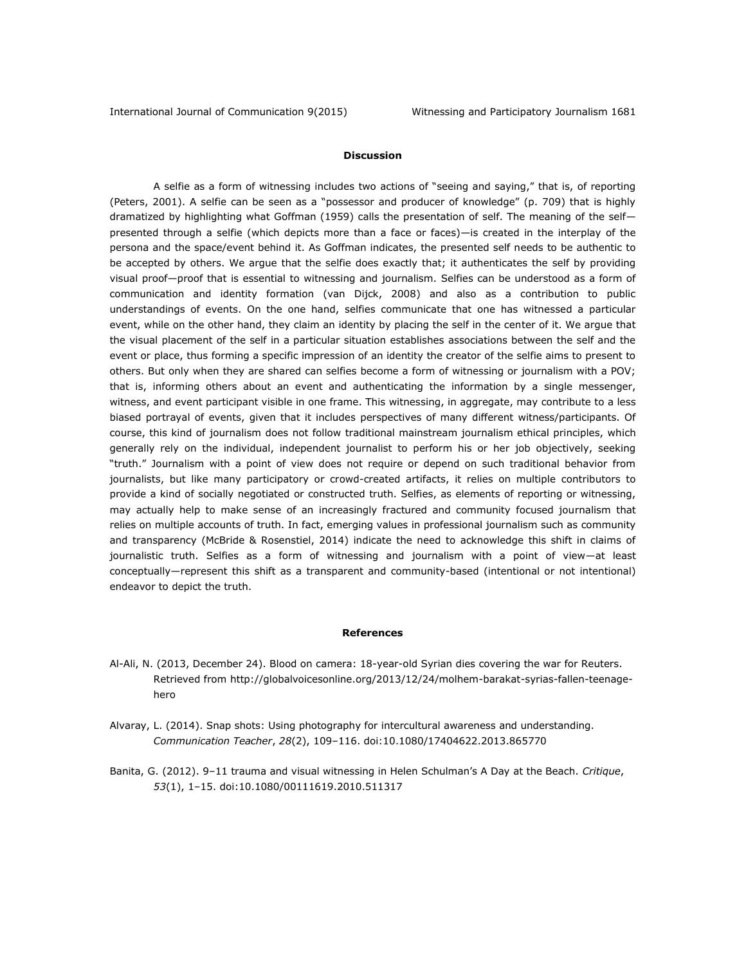# **Discussion**

A selfie as a form of witnessing includes two actions of "seeing and saying," that is, of reporting (Peters, 2001). A selfie can be seen as a "possessor and producer of knowledge" (p. 709) that is highly dramatized by highlighting what Goffman (1959) calls the presentation of self. The meaning of the self presented through a selfie (which depicts more than a face or faces)—is created in the interplay of the persona and the space/event behind it. As Goffman indicates, the presented self needs to be authentic to be accepted by others. We argue that the selfie does exactly that; it authenticates the self by providing visual proof—proof that is essential to witnessing and journalism. Selfies can be understood as a form of communication and identity formation (van Dijck, 2008) and also as a contribution to public understandings of events. On the one hand, selfies communicate that one has witnessed a particular event, while on the other hand, they claim an identity by placing the self in the center of it. We argue that the visual placement of the self in a particular situation establishes associations between the self and the event or place, thus forming a specific impression of an identity the creator of the selfie aims to present to others. But only when they are shared can selfies become a form of witnessing or journalism with a POV; that is, informing others about an event and authenticating the information by a single messenger, witness, and event participant visible in one frame. This witnessing, in aggregate, may contribute to a less biased portrayal of events, given that it includes perspectives of many different witness/participants. Of course, this kind of journalism does not follow traditional mainstream journalism ethical principles, which generally rely on the individual, independent journalist to perform his or her job objectively, seeking "truth." Journalism with a point of view does not require or depend on such traditional behavior from journalists, but like many participatory or crowd-created artifacts, it relies on multiple contributors to provide a kind of socially negotiated or constructed truth. Selfies, as elements of reporting or witnessing, may actually help to make sense of an increasingly fractured and community focused journalism that relies on multiple accounts of truth. In fact, emerging values in professional journalism such as community and transparency (McBride & Rosenstiel, 2014) indicate the need to acknowledge this shift in claims of journalistic truth. Selfies as a form of witnessing and journalism with a point of view—at least conceptually—represent this shift as a transparent and community-based (intentional or not intentional) endeavor to depict the truth.

#### **References**

- Al-Ali, N. (2013, December 24). Blood on camera: 18-year-old Syrian dies covering the war for Reuters. Retrieved from [http://globalvoicesonline.org/2013/12/24/molhem-barakat-syrias-fallen-teenage](http://globalvoicesonline.org/2013/12/24/molhem-barakat-syrias-fallen-teenage-hero)[hero](http://globalvoicesonline.org/2013/12/24/molhem-barakat-syrias-fallen-teenage-hero)
- Alvaray, L. (2014). Snap shots: Using photography for intercultural awareness and understanding. *Communication Teacher*, *28*(2), 109–116. doi:10.1080/17404622.2013.865770
- Banita, G. (2012). 9–11 trauma and visual witnessing in Helen Schulman's A Day at the Beach. *Critique*, *53*(1), 1–15. doi:10.1080/00111619.2010.511317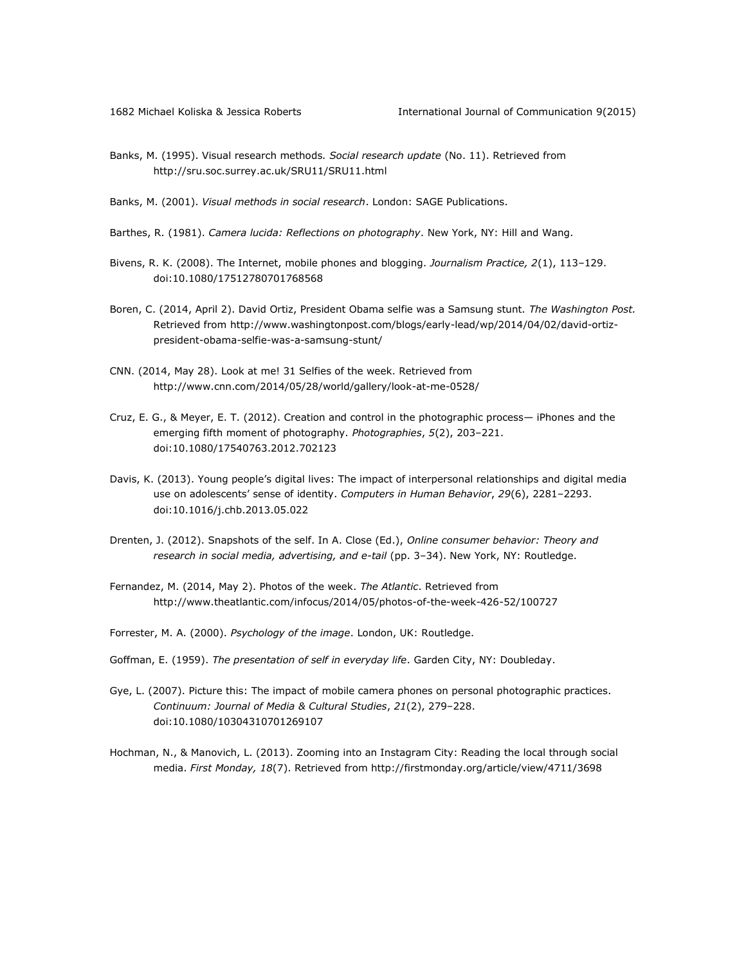- Banks, M. (1995). Visual research methods*. Social research update* (No. 11). Retrieved from <http://sru.soc.surrey.ac.uk/SRU11/SRU11.html>
- Banks, M. (2001). *Visual methods in social research*. London: SAGE Publications.
- Barthes, R. (1981). *Camera lucida: Reflections on photography*. New York, NY: Hill and Wang.
- Bivens, R. K. (2008). The Internet, mobile phones and blogging. *Journalism Practice, 2*(1), 113–129. doi:10.1080/17512780701768568
- Boren, C. (2014, April 2). David Ortiz, President Obama selfie was a Samsung stunt. *The Washington Post.* Retrieved from [http://www.washingtonpost.com/blogs/early-lead/wp/2014/04/02/david-ortiz](http://www.washingtonpost.com/blogs/early-lead/wp/2014/04/02/david-ortiz-president-obama-selfie-was-a-samsung-stunt/)[president-obama-selfie-was-a-samsung-stunt/](http://www.washingtonpost.com/blogs/early-lead/wp/2014/04/02/david-ortiz-president-obama-selfie-was-a-samsung-stunt/)
- CNN. (2014, May 28). Look at me! 31 Selfies of the week. Retrieved from <http://www.cnn.com/2014/05/28/world/gallery/look-at-me-0528/>
- Cruz, E. G., & Meyer, E. T. (2012). Creation and control in the photographic process— iPhones and the emerging fifth moment of photography. *Photographies*, *5*(2), 203–221. doi:10.1080/17540763.2012.702123
- Davis, K. (2013). Young people's digital lives: The impact of interpersonal relationships and digital media use on adolescents' sense of identity. *Computers in Human Behavior*, *29*(6), 2281–2293. doi:10.1016/j.chb.2013.05.022
- Drenten, J. (2012). Snapshots of the self. In A. Close (Ed.), *Online consumer behavior: Theory and research in social media, advertising, and e-tail* (pp. 3–34). New York, NY: Routledge.
- Fernandez, M. (2014, May 2). Photos of the week. *The Atlantic*. Retrieved from <http://www.theatlantic.com/infocus/2014/05/photos-of-the-week-426-52/100727>
- Forrester, M. A. (2000). *Psychology of the image*. London, UK: Routledge.
- Goffman, E. (1959). *The presentation of self in everyday life*. Garden City, NY: Doubleday.
- Gye, L. (2007). Picture this: The impact of mobile camera phones on personal photographic practices. *Continuum: Journal of Media & Cultural Studies*, *21*(2), 279–228. doi:10.1080/10304310701269107
- Hochman, N., & Manovich, L. (2013). Zooming into an Instagram City: Reading the local through social media. *First Monday, 18*(7). Retrieved from<http://firstmonday.org/article/view/4711/3698>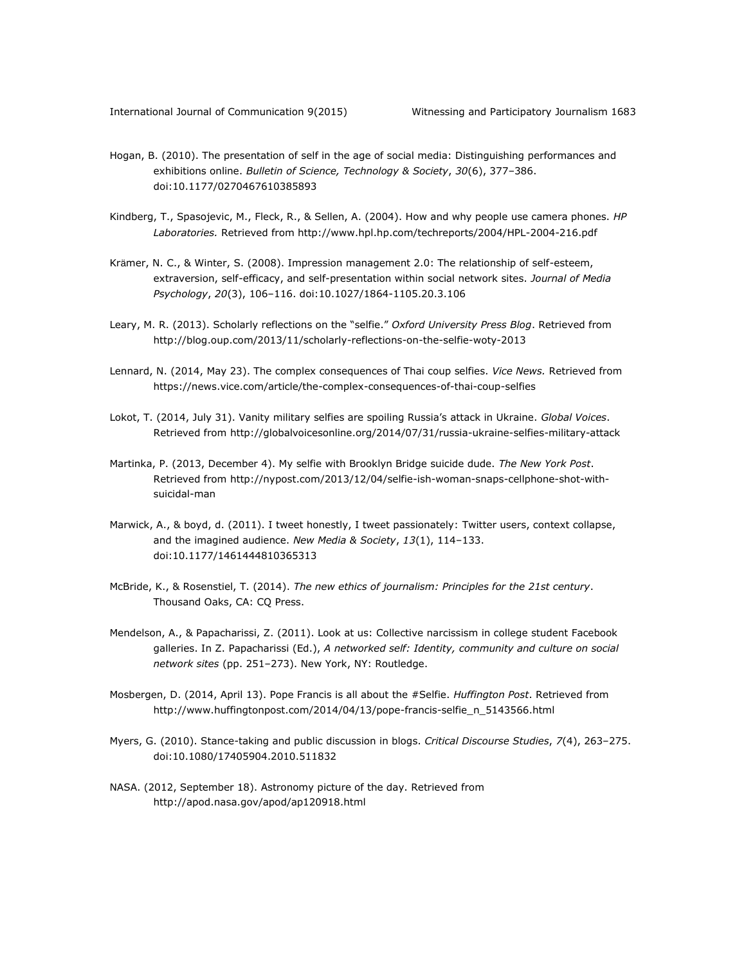- Hogan, B. (2010). The presentation of self in the age of social media: Distinguishing performances and exhibitions online. *Bulletin of Science, Technology & Society*, *30*(6), 377–386. doi:10.1177/0270467610385893
- Kindberg, T., Spasojevic, M., Fleck, R., & Sellen, A. (2004). How and why people use camera phones. *HP Laboratories.* Retrieved from<http://www.hpl.hp.com/techreports/2004/HPL-2004-216.pdf>
- Krämer, N. C., & Winter, S. (2008). Impression management 2.0: The relationship of self-esteem, extraversion, self-efficacy, and self-presentation within social network sites. *Journal of Media Psychology*, *20*(3), 106–116. doi:10.1027/1864-1105.20.3.106
- Leary, M. R. (2013). Scholarly reflections on the "selfie." *Oxford University Press Blog*. Retrieved from <http://blog.oup.com/2013/11/scholarly-reflections-on-the-selfie-woty-2013>
- Lennard, N. (2014, May 23). The complex consequences of Thai coup selfies. *Vice News.* Retrieved from <https://news.vice.com/article/the-complex-consequences-of-thai-coup-selfies>
- Lokot, T. (2014, July 31). Vanity military selfies are spoiling Russia's attack in Ukraine. *Global Voices*. Retrieved from<http://globalvoicesonline.org/2014/07/31/russia-ukraine-selfies-military-attack>
- Martinka, P. (2013, December 4). My selfie with Brooklyn Bridge suicide dude. *The New York Post*. Retrieved from [http://nypost.com/2013/12/04/selfie-ish-woman-snaps-cellphone-shot-with](http://nypost.com/2013/12/04/selfie-ish-woman-snaps-cellphone-shot-with-suicidal-man)[suicidal-man](http://nypost.com/2013/12/04/selfie-ish-woman-snaps-cellphone-shot-with-suicidal-man)
- Marwick, A., & boyd, d. (2011). I tweet honestly, I tweet passionately: Twitter users, context collapse, and the imagined audience. *New Media & Society*, *13*(1), 114–133. doi:10.1177/1461444810365313
- McBride, K., & Rosenstiel, T. (2014). *The new ethics of journalism: Principles for the 21st century*. Thousand Oaks, CA: CQ Press.
- Mendelson, A., & Papacharissi, Z. (2011). Look at us: Collective narcissism in college student Facebook galleries. In Z. Papacharissi (Ed.), *A networked self: Identity, community and culture on social network sites* (pp. 251–273). New York, NY: Routledge.
- Mosbergen, D. (2014, April 13). Pope Francis is all about the #Selfie. *Huffington Post*. Retrieved from [http://www.huffingtonpost.com/2014/04/13/pope-francis-selfie\\_n\\_5143566.html](http://www.huffingtonpost.com/2014/04/13/pope-francis-selfie_n_5143566.html)
- Myers, G. (2010). Stance-taking and public discussion in blogs. *Critical Discourse Studies*, *7*(4), 263–275. doi:10.1080/17405904.2010.511832
- NASA. (2012, September 18). Astronomy picture of the day. Retrieved from <http://apod.nasa.gov/apod/ap120918.html>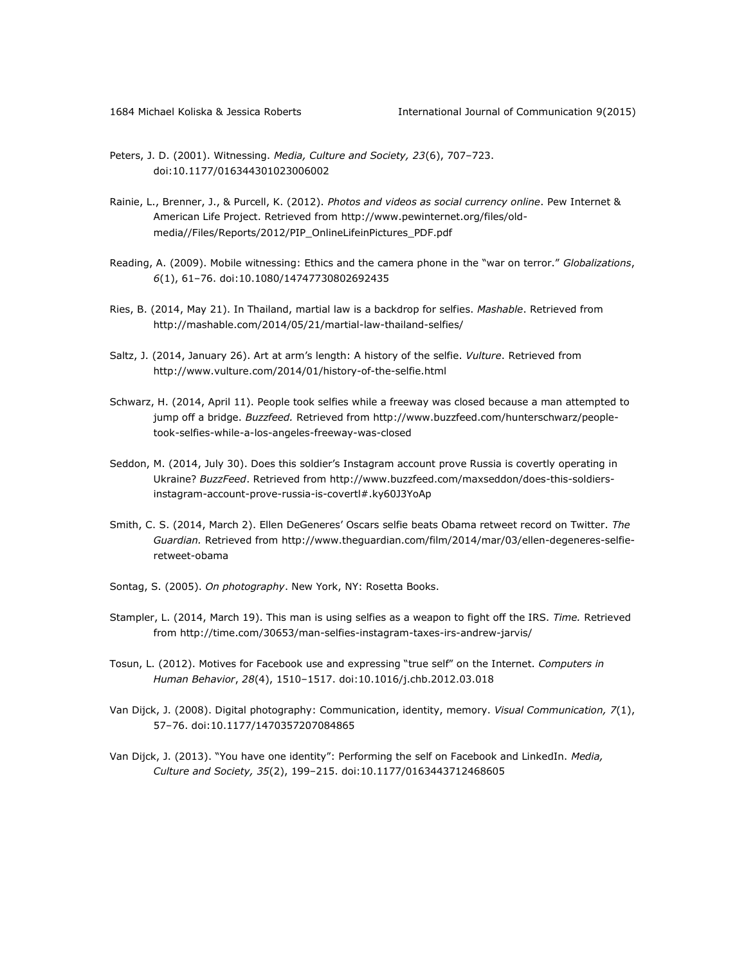- Peters, J. D. (2001). Witnessing. *Media, Culture and Society, 23*(6), 707–723. doi:10.1177/016344301023006002
- Rainie, L., Brenner, J., & Purcell, K. (2012). *Photos and videos as social currency online*. Pew Internet & American Life Project. Retrieved from [http://www.pewinternet.org/files/old](http://www.pewinternet.org/files/old-media/Files/Reports/2012/PIP_OnlineLifeinPictures_PDF.pdf)[media//Files/Reports/2012/PIP\\_OnlineLifeinPictures\\_PDF.pdf](http://www.pewinternet.org/files/old-media/Files/Reports/2012/PIP_OnlineLifeinPictures_PDF.pdf)
- Reading, A. (2009). Mobile witnessing: Ethics and the camera phone in the "war on terror." *Globalizations*, *6*(1), 61–76. doi:10.1080/14747730802692435
- Ries, B. (2014, May 21). In Thailand, martial law is a backdrop for selfies. *Mashable*. Retrieved from <http://mashable.com/2014/05/21/martial-law-thailand-selfies/>
- Saltz, J. (2014, January 26). Art at arm's length: A history of the selfie. *Vulture*. Retrieved from <http://www.vulture.com/2014/01/history-of-the-selfie.html>
- Schwarz, H. (2014, April 11). People took selfies while a freeway was closed because a man attempted to jump off a bridge. *Buzzfeed.* Retrieved from [http://www.buzzfeed.com/hunterschwarz/people](http://www.buzzfeed.com/hunterschwarz/people-took-selfies-while-a-los-angeles-freeway-was-closed)[took-selfies-while-a-los-angeles-freeway-was-closed](http://www.buzzfeed.com/hunterschwarz/people-took-selfies-while-a-los-angeles-freeway-was-closed)
- Seddon, M. (2014, July 30). Does this soldier's Instagram account prove Russia is covertly operating in Ukraine? *BuzzFeed*. Retrieved from [http://www.buzzfeed.com/maxseddon/does-this-soldiers](http://www.buzzfeed.com/maxseddon/does-this-soldiers-instagram-account-prove-russia-is-covertl#.ky60J3YoAp)[instagram-account-prove-russia-is-covertl#.ky60J3YoAp](http://www.buzzfeed.com/maxseddon/does-this-soldiers-instagram-account-prove-russia-is-covertl#.ky60J3YoAp)
- Smith, C. S. (2014, March 2). Ellen DeGeneres' Oscars selfie beats Obama retweet record on Twitter. *The Guardian.* Retrieved from [http://www.theguardian.com/film/2014/mar/03/ellen-degeneres-selfie](http://www.theguardian.com/film/2014/mar/03/ellen-degeneres-selfie-retweet-obama)[retweet-obama](http://www.theguardian.com/film/2014/mar/03/ellen-degeneres-selfie-retweet-obama)
- Sontag, S. (2005). *On photography*. New York, NY: Rosetta Books.
- Stampler, L. (2014, March 19). This man is using selfies as a weapon to fight off the IRS. *Time.* Retrieved from<http://time.com/30653/man-selfies-instagram-taxes-irs-andrew-jarvis/>
- Tosun, L. (2012). Motives for Facebook use and expressing "true self" on the Internet. *Computers in Human Behavior*, *28*(4), 1510–1517. doi:10.1016/j.chb.2012.03.018
- Van Dijck, J. (2008). Digital photography: Communication, identity, memory. *Visual Communication, 7*(1), 57–76. doi:10.1177/1470357207084865
- Van Dijck, J. (2013). "You have one identity": Performing the self on Facebook and LinkedIn. *Media, Culture and Society, 35*(2), 199–215. doi:10.1177/0163443712468605